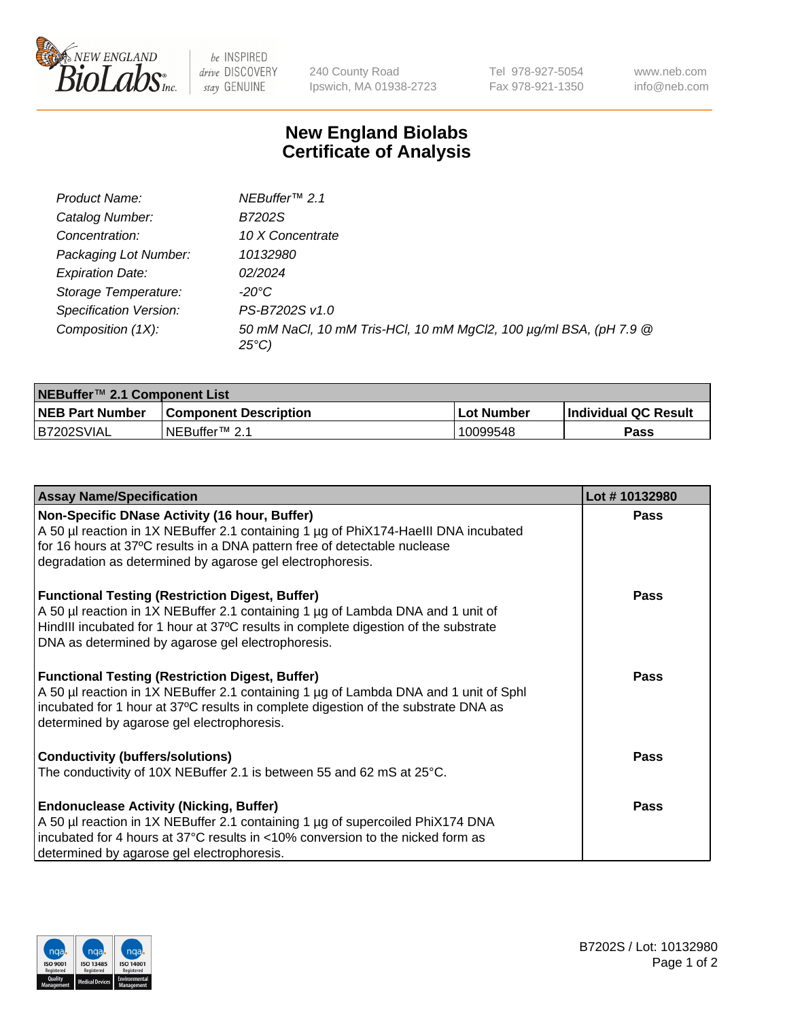

 $be$  INSPIRED drive DISCOVERY stay GENUINE

240 County Road Ipswich, MA 01938-2723 Tel 978-927-5054 Fax 978-921-1350 www.neb.com info@neb.com

## **New England Biolabs Certificate of Analysis**

| Product Name:           | NEBuffer <sup>™</sup> 2.1                                                          |
|-------------------------|------------------------------------------------------------------------------------|
| Catalog Number:         | B7202S                                                                             |
| Concentration:          | 10 X Concentrate                                                                   |
| Packaging Lot Number:   | 10132980                                                                           |
| <b>Expiration Date:</b> | 02/2024                                                                            |
| Storage Temperature:    | -20°C                                                                              |
| Specification Version:  | PS-B7202S v1.0                                                                     |
| Composition (1X):       | 50 mM NaCl, 10 mM Tris-HCl, 10 mM MgCl2, 100 µg/ml BSA, (pH 7.9 @<br>$25^{\circ}C$ |

| NEBuffer <sup>™</sup> 2.1 Component List |                              |              |                             |  |  |
|------------------------------------------|------------------------------|--------------|-----------------------------|--|--|
| <b>NEB Part Number</b>                   | <b>Component Description</b> | . Lot Number | <b>Individual QC Result</b> |  |  |
| B7202SVIAL                               | NEBuffer™ 2.1                | 10099548     | <b>Pass</b>                 |  |  |

| <b>Assay Name/Specification</b>                                                      | Lot #10132980 |
|--------------------------------------------------------------------------------------|---------------|
| Non-Specific DNase Activity (16 hour, Buffer)                                        | <b>Pass</b>   |
| A 50 µl reaction in 1X NEBuffer 2.1 containing 1 µg of PhiX174-HaellI DNA incubated  |               |
| for 16 hours at 37°C results in a DNA pattern free of detectable nuclease            |               |
| degradation as determined by agarose gel electrophoresis.                            |               |
| <b>Functional Testing (Restriction Digest, Buffer)</b>                               | Pass          |
| A 50 µl reaction in 1X NEBuffer 2.1 containing 1 µg of Lambda DNA and 1 unit of      |               |
| HindIII incubated for 1 hour at 37°C results in complete digestion of the substrate  |               |
| DNA as determined by agarose gel electrophoresis.                                    |               |
| <b>Functional Testing (Restriction Digest, Buffer)</b>                               | Pass          |
| A 50 µl reaction in 1X NEBuffer 2.1 containing 1 µg of Lambda DNA and 1 unit of Sphl |               |
| incubated for 1 hour at 37°C results in complete digestion of the substrate DNA as   |               |
| determined by agarose gel electrophoresis.                                           |               |
| <b>Conductivity (buffers/solutions)</b>                                              | Pass          |
| The conductivity of 10X NEBuffer 2.1 is between 55 and 62 mS at 25°C.                |               |
| <b>Endonuclease Activity (Nicking, Buffer)</b>                                       | <b>Pass</b>   |
| A 50 µl reaction in 1X NEBuffer 2.1 containing 1 µg of supercoiled PhiX174 DNA       |               |
| Tincubated for 4 hours at 37°C results in <10% conversion to the nicked form as      |               |
| determined by agarose gel electrophoresis.                                           |               |